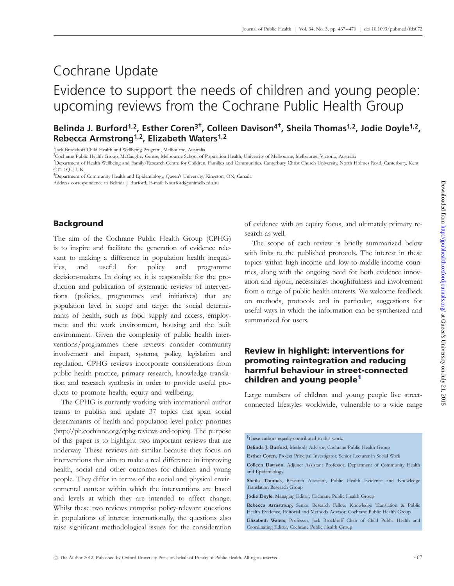# Cochrane Update Evidence to support the needs of children and young people: upcoming reviews from the Cochrane Public Health Group

# Belinda J. Burford<sup>1,2</sup>, Esther Coren<sup>3†</sup>, Colleen Davison<sup>4†</sup>, Sheila Thomas<sup>1,2</sup>, Jodie Doyle<sup>1,2</sup>, Rebecca Armstrong<sup>1,2</sup>, Elizabeth Waters<sup>1,2</sup>

<sup>1</sup>Jack Brockhoff Child Health and Wellbeing Program, Melbourne, Australia

2 Cochrane Public Health Group, McCaughey Centre, Melbourne School of Population Health, University of Melbourne, Melbourne, Victoria, Australia

<sup>3</sup>Department of Health Wellbeing and Family/Research Centre for Children, Families and Communities, Canterbury Christ Church University, North Holmes Road, Canterbury, Kent CT1 1QU, UK

4 Department of Community Health and Epidemiology, Queen's University, Kingston, ON, Canada Address correspondence to Belinda J. Burford, E-mail: b.burford@unimelb.edu.au

#### Background

The aim of the Cochrane Public Health Group (CPHG) is to inspire and facilitate the generation of evidence relevant to making a difference in population health inequalities, and useful for policy and programme decision-makers. In doing so, it is responsible for the production and publication of systematic reviews of interventions ( policies, programmes and initiatives) that are population level in scope and target the social determinants of health, such as food supply and access, employment and the work environment, housing and the built environment. Given the complexity of public health interventions/programmes these reviews consider community involvement and impact, systems, policy, legislation and regulation. CPHG reviews incorporate considerations from public health practice, primary research, knowledge translation and research synthesis in order to provide useful products to promote health, equity and wellbeing.

The CPHG is currently working with international author teams to publish and update 37 topics that span social determinants of health and population-level policy priorities (http://ph.cochrane.org/cphg-reviews-and-topics). The purpose of this paper is to highlight two important reviews that are underway. These reviews are similar because they focus on interventions that aim to make a real difference in improving health, social and other outcomes for children and young people. They differ in terms of the social and physical environmental context within which the interventions are based and levels at which they are intended to affect change. Whilst these two reviews comprise policy-relevant questions in populations of interest internationally, the questions also raise significant methodological issues for the consideration

of evidence with an equity focus, and ultimately primary research as well.

The scope of each review is briefly summarized below with links to the published protocols. The interest in these topics within high-income and low-to-middle-income countries, along with the ongoing need for both evidence innovation and rigour, necessitates thoughtfulness and involvement from a range of public health interests. We welcome feedback on methods, protocols and in particular, suggestions for useful ways in which the information can be synthesized and summarized for users.

# Review in highlight: interventions for promoting reintegration and reducing harmful behaviour in street-connected children and young people<sup>[1](#page-3-0)</sup>

Large numbers of children and young people live streetconnected lifestyles worldwide, vulnerable to a wide range

| <sup>T</sup> These authors equally contributed to this work.                                                                                              |
|-----------------------------------------------------------------------------------------------------------------------------------------------------------|
| <b>Belinda J. Burford, Methods Advisor, Cochrane Public Health Group</b>                                                                                  |
| <b>Esther Coren, Project Principal Investigator, Senior Lecturer in Social Work</b>                                                                       |
| <b>Colleen Davison, Adjunct Assistant Professor, Department of Community Health</b><br>and Epidemiology                                                   |
| Sheila Thomas, Research Assistant, Public Health Evidence and Knowledge<br>Translation Research Group                                                     |
| Jodie Doyle, Managing Editor, Cochrane Public Health Group                                                                                                |
| Rebecca Armstrong, Senior Research Fellow, Knowledge Translation & Public<br>Health Evidence, Editorial and Methods Advisor, Cochrane Public Health Group |
| Elizabeth Waters, Professor, Jack Brockhoff Chair of Child Public Health and<br>Coordinating Editor, Cochrane Public Health Group                         |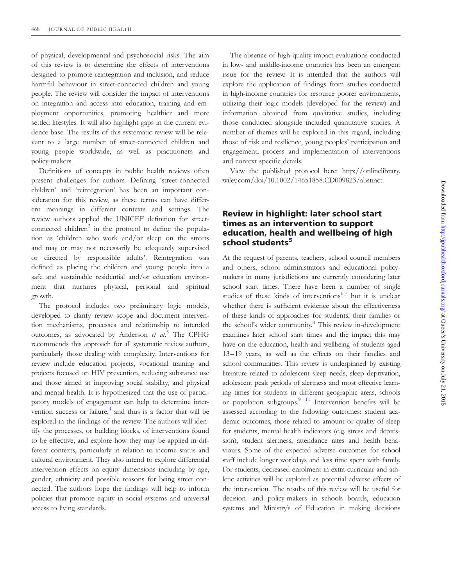of physical, developmental and psychosocial risks. The aim of this review is to determine the effects of interventions designed to promote reintegration and inclusion, and reduce harmful behaviour in street-connected children and young people. The review will consider the impact of interventions on integration and access into education, training and employment opportunities, promoting healthier and more settled lifestyles. It will also highlight gaps in the current evidence base. The results of this systematic review will be relevant to a large number of street-connected children and young people worldwide, as well as practitioners and policy-makers.

Definitions of concepts in public health reviews often present challenges for authors. Defining 'street-connected children' and 'reintegration' has been an important consideration for this review, as these terms can have different meanings in different contexts and settings. The review authors applied the UNICEF definition for street-connected children<sup>[2](#page-3-0)</sup> in the protocol to define the population as 'children who work and/or sleep on the streets and may or may not necessarily be adequately supervised or directed by responsible adults'. Reintegration was defined as placing the children and young people into a safe and sustainable residential and/or education environment that nurtures physical, personal and spiritual growth.

The protocol includes two preliminary logic models, developed to clarify review scope and document intervention mechanisms, processes and relationship to intended outcomes, as advocated by Anderson et al.<sup>[3](#page-3-0)</sup> The CPHG recommends this approach for all systematic review authors, particularly those dealing with complexity. Interventions for review include education projects, vocational training and projects focused on HIV prevention, reducing substance use and those aimed at improving social stability, and physical and mental health. It is hypothesized that the use of participatory models of engagement can help to determine intervention success or failure, $4$  and thus is a factor that will be explored in the findings of the review. The authors will identify the processes, or building blocks, of interventions found to be effective, and explore how they may be applied in different contexts, particularly in relation to income status and cultural environment. They also intend to explore differential intervention effects on equity dimensions including by age, gender, ethnicity and possible reasons for being street connected. The authors hope the findings will help to inform policies that promote equity in social systems and universal access to living standards.

The absence of high-quality impact evaluations conducted in low- and middle-income countries has been an emergent issue for the review. It is intended that the authors will explore the application of findings from studies conducted in high-income countries for resource poorer environments, utilizing their logic models (developed for the review) and information obtained from qualitative studies, including those conducted alongside included quantitative studies. A number of themes will be explored in this regard, including those of risk and resilience, young peoples' participation and engagement, process and implementation of interventions and context specific details.

View the published protocol here: http://onlinelibrary. wiley.com/doi/10.1002/14651858.CD009823/abstract.

## Review in highlight: later school start times as an intervention to support education, health and wellbeing of high school students<sup>[5](#page-3-0)</sup>

At the request of parents, teachers, school council members and others, school administrators and educational policymakers in many jurisdictions are currently considering later school start times. There have been a number of single studies of these kinds of interventions<sup>[6,7](#page-3-0)</sup> but it is unclear whether there is sufficient evidence about the effectiveness of these kinds of approaches for students, their families or the school's wider community.<sup>[8](#page-3-0)</sup> This review in-development examines later school start times and the impact this may have on the education, health and wellbeing of students aged 13–19 years, as well as the effects on their families and school communities. This review is underpinned by existing literature related to adolescent sleep needs, sleep deprivation, adolescent peak periods of alertness and most effective learning times for students in different geographic areas, schools or population subgroups. $9-11$  $9-11$  Intervention benefits will be assessed according to the following outcomes: student academic outcomes, those related to amount or quality of sleep for students, mental health indicators (e.g. stress and depression), student alertness, attendance rates and health behaviours. Some of the expected adverse outcomes for school staff include longer workdays and less time spent with family. For students, decreased enrolment in extra-curricular and athletic activities will be explored as potential adverse effects of the intervention. The results of this review will be useful for decision- and policy-makers in schools boards, education systems and Ministry's of Education in making decisions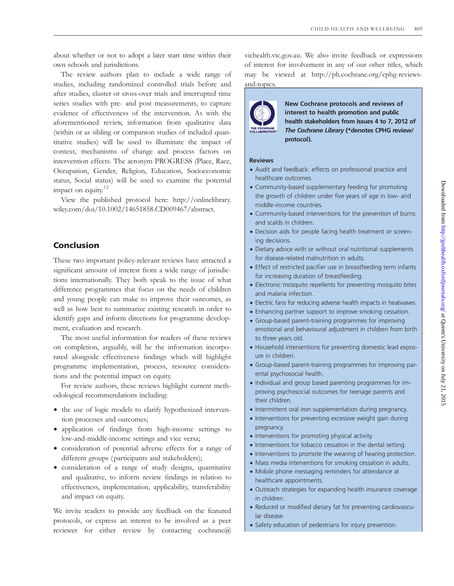about whether or not to adopt a later start time within their own schools and jurisdictions.

The review authors plan to include a wide range of studies, including randomized controlled trials before and after studies, cluster or cross-over trials and interrupted time series studies with pre- and post measurements, to capture evidence of effectiveness of the intervention. As with the aforementioned review, information from qualitative data (within or as sibling or companion studies of included quantitative studies) will be used to illuminate the impact of context, mechanisms of change and process factors on intervention effects. The acronym PROGRESS (Place, Race, Occupation, Gender, Religion, Education, Socioeconomic status, Social status) will be used to examine the potential impact on equity.<sup>12</sup>

View the published protocol here: http://onlinelibrary. wiley.com/doi/10.1002/14651858.CD009467/abstract.

#### Conclusion

These two important policy-relevant reviews have attracted a significant amount of interest from a wide range of jurisdictions internationally. They both speak to the issue of what difference programmes that focus on the needs of children and young people can make to improve their outcomes, as well as how best to summarize existing research in order to identify gaps and inform directions for programme development, evaluation and research.

The most useful information for readers of these reviews on completion, arguably, will be the information incorporated alongside effectiveness findings which will highlight programme implementation, process, resource considerations and the potential impact on equity.

For review authors, these reviews highlight current methodological recommendations including:

- the use of logic models to clarify hypothesized intervention processes and outcomes;
- application of findings from high-income settings to low-and-middle-income settings and vice versa;
- † consideration of potential adverse effects for a range of different groups (participants and stakeholders);
- † consideration of a range of study designs, quantitative and qualitative, to inform review findings in relation to effectiveness, implementation, applicability, transferability and impact on equity.

We invite readers to provide any feedback on the featured protocols, or express an interest to be involved as a peer reviewer for either review by contacting cochrane@

vichealth.vic.gov.au. We also invite feedback or expressions of interest for involvement in any of our other titles, which may be viewed at http://ph.cochrane.org/cphg-reviewsand-topics.



New Cochrane protocols and reviews of interest to health promotion and public health stakeholders from Issues 4 to 7, 2012 of The Cochrane Library (\*denotes CPHG review/ protocol).

#### Reviews

- † Audit and feedback: effects on professional practice and healthcare outcomes.
- Community-based supplementary feeding for promoting the growth of children under five years of age in low- and middle-income countries.
- † Community-based interventions for the prevention of burns and scalds in children.
- Decision aids for people facing health treatment or screening decisions.
- Dietary advice with or without oral nutritional supplements for disease-related malnutrition in adults.
- Effect of restricted pacifier use in breastfeeding term infants for increasing duration of breastfeeding.
- † Electronic mosquito repellents for preventing mosquito bites and malaria infection.
- Electric fans for reducing adverse health impacts in heatwaves.
- Enhancing partner support to improve smoking cessation.
- † Group-based parent-training programmes for improving emotional and behavioural adjustment in children from birth to three years old.
- † Household interventions for preventing domestic lead exposure in children.
- † Group-based parent-training programmes for improving parental psychosocial health.
- Individual and group based parenting programmes for improving psychosocial outcomes for teenage parents and their children.
- Intermittent oral iron supplementation during pregnancy.
- Interventions for preventing excessive weight gain during pregnancy.
- Interventions for promoting physical activity.
- Interventions for tobacco cessation in the dental setting.
- Interventions to promote the wearing of hearing protection.
- Mass media interventions for smoking cessation in adults.
- Mobile phone messaging reminders for attendance at healthcare appointments.
- Outreach strategies for expanding health insurance coverage in children.
- † Reduced or modified dietary fat for preventing cardiovascular disease.
- Safety education of pedestrians for injury prevention.